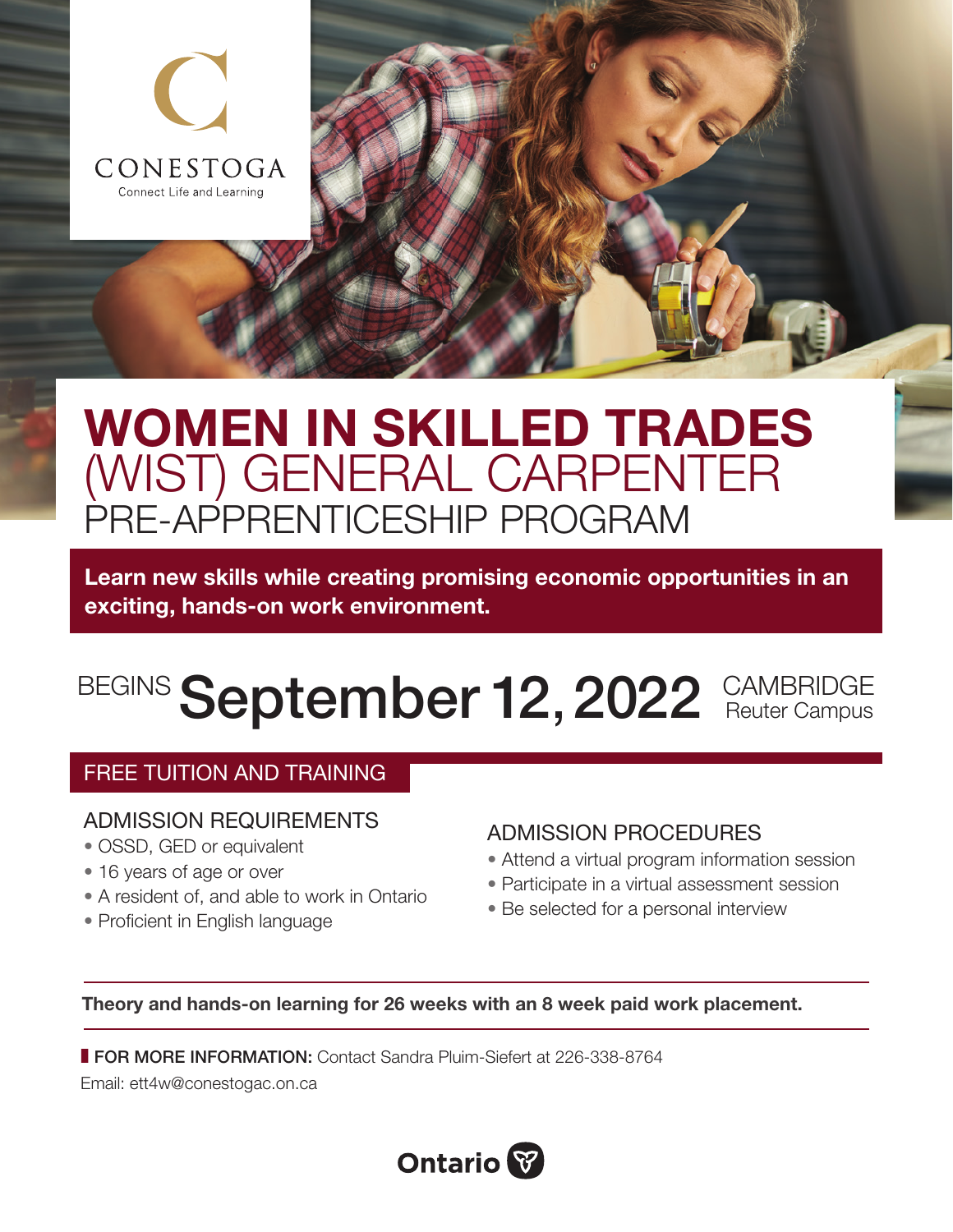

# WOMEN IN SKILLED TRADES (WIST) GENERAL CARPENTER PRE-APPRENTICESHIP PROGRAM

Learn new skills while creating promising economic opportunities in an exciting, hands-on work environment.

### BEGINS September 12, 2022 CAMBRIDGE Reuter Campus

#### FREE TUITION AND TRAINING

#### ADMISSION REQUIREMENTS

- OSSD, GED or equivalent
- 16 years of age or over
- A resident of, and able to work in Ontario
- Proficient in English language

#### ADMISSION PROCEDURES

- Attend a virtual program information session
- Participate in a virtual assessment session
- Be selected for a personal interview

Theory and hands-on learning for 26 weeks with an 8 week paid work placement.

**FOR MORE INFORMATION: Contact Sandra Pluim-Siefert at 226-338-8764** 

Email: [ett4w@conestogac.on.ca](mailto:ett4w%40conestogac.on.ca?subject=)